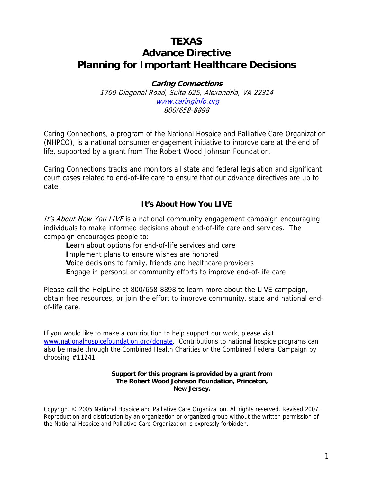# **TEXAS Advance Directive Planning for Important Healthcare Decisions**

**Caring Connections**  1700 Diagonal Road, Suite 625, Alexandria, VA 22314 www.caringinfo.org 800/658-8898

Caring Connections, a program of the National Hospice and Palliative Care Organization (NHPCO), is a national consumer engagement initiative to improve care at the end of life, supported by a grant from The Robert Wood Johnson Foundation.

Caring Connections tracks and monitors all state and federal legislation and significant court cases related to end-of-life care to ensure that our advance directives are up to date.

#### **It's About How You LIVE**

It's About How You LIVE is a national community engagement campaign encouraging individuals to make informed decisions about end-of-life care and services. The campaign encourages people to:

**L**earn about options for end-of-life services and care **I**mplement plans to ensure wishes are honored **V**oice decisions to family, friends and healthcare providers **E**ngage in personal or community efforts to improve end-of-life care

Please call the HelpLine at 800/658-8898 to learn more about the LIVE campaign, obtain free resources, or join the effort to improve community, state and national endof-life care.

If you would like to make a contribution to help support our work, please visit www.nationalhospicefoundation.org/donate. Contributions to national hospice programs can also be made through the Combined Health Charities or the Combined Federal Campaign by choosing #11241.

#### **Support for this program is provided by a grant from The Robert Wood Johnson Foundation, Princeton, New Jersey.**

Copyright © 2005 National Hospice and Palliative Care Organization. All rights reserved. Revised 2007. Reproduction and distribution by an organization or organized group without the written permission of the National Hospice and Palliative Care Organization is expressly forbidden.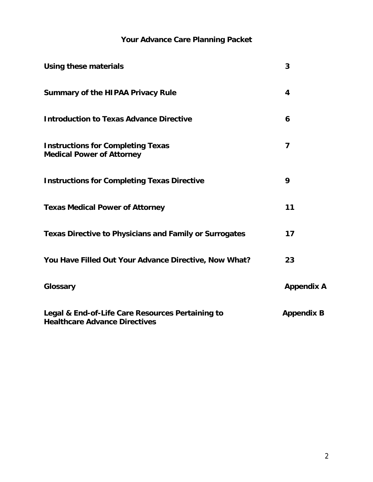# **Your Advance Care Planning Packet**

| <b>Using these materials</b>                                                             | 3                 |
|------------------------------------------------------------------------------------------|-------------------|
| <b>Summary of the HIPAA Privacy Rule</b>                                                 | 4                 |
| <b>Introduction to Texas Advance Directive</b>                                           | 6                 |
| <b>Instructions for Completing Texas</b><br><b>Medical Power of Attorney</b>             | 7                 |
| <b>Instructions for Completing Texas Directive</b>                                       | 9                 |
| <b>Texas Medical Power of Attorney</b>                                                   | 11                |
| <b>Texas Directive to Physicians and Family or Surrogates</b>                            | 17                |
| You Have Filled Out Your Advance Directive, Now What?                                    | 23                |
| Glossary                                                                                 | <b>Appendix A</b> |
| Legal & End-of-Life Care Resources Pertaining to<br><b>Healthcare Advance Directives</b> | <b>Appendix B</b> |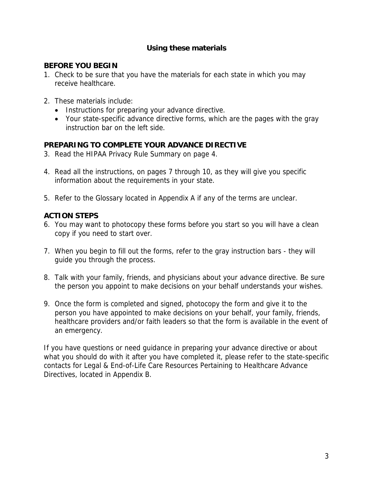# **Using these materials**

#### **BEFORE YOU BEGIN**

- 1. Check to be sure that you have the materials for each state in which you may receive healthcare.
- 2. These materials include:
	- Instructions for preparing your advance directive.
	- Your state-specific advance directive forms, which are the pages with the gray instruction bar on the left side.

## **PREPARING TO COMPLETE YOUR ADVANCE DIRECTIVE**

- 3. Read the HIPAA Privacy Rule Summary on page 4.
- 4. Read all the instructions, on pages 7 through 10, as they will give you specific information about the requirements in your state.
- 5. Refer to the Glossary located in Appendix A if any of the terms are unclear.

# **ACTION STEPS**

- 6. You may want to photocopy these forms before you start so you will have a clean copy if you need to start over.
- 7. When you begin to fill out the forms, refer to the gray instruction bars they will guide you through the process.
- 8. Talk with your family, friends, and physicians about your advance directive. Be sure the person you appoint to make decisions on your behalf understands your wishes.
- 9. Once the form is completed and signed, photocopy the form and give it to the person you have appointed to make decisions on your behalf, your family, friends, healthcare providers and/or faith leaders so that the form is available in the event of an emergency.

If you have questions or need guidance in preparing your advance directive or about what you should do with it after you have completed it, please refer to the state-specific contacts for Legal & End-of-Life Care Resources Pertaining to Healthcare Advance Directives, located in Appendix B.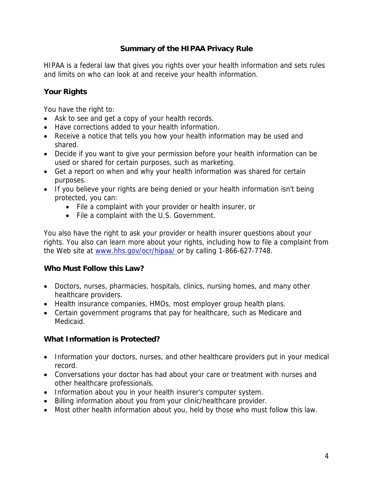# **Summary of the HIPAA Privacy Rule**

HIPAA is a federal law that gives you rights over your health information and sets rules and limits on who can look at and receive your health information.

# **Your Rights**

You have the right to:

- Ask to see and get a copy of your health records.
- Have corrections added to your health information.
- Receive a notice that tells you how your health information may be used and shared.
- Decide if you want to give your permission before your health information can be used or shared for certain purposes, such as marketing.
- Get a report on when and why your health information was shared for certain purposes.
- If you believe your rights are being denied or your health information isn't being protected, you can:
	- File a complaint with your provider or health insurer, or
	- File a complaint with the U.S. Government.

You also have the right to ask your provider or health insurer questions about your rights. You also can learn more about your rights, including how to file a complaint from the Web site at www.hhs.gov/ocr/hipaa/ or by calling 1-866-627-7748.

## **Who Must Follow this Law?**

- Doctors, nurses, pharmacies, hospitals, clinics, nursing homes, and many other healthcare providers.
- Health insurance companies, HMOs, most employer group health plans.
- Certain government programs that pay for healthcare, such as Medicare and Medicaid.

## **What Information is Protected?**

- Information your doctors, nurses, and other healthcare providers put in your medical record.
- Conversations your doctor has had about your care or treatment with nurses and other healthcare professionals.
- Information about you in your health insurer's computer system.
- Billing information about you from your clinic/healthcare provider.
- Most other health information about you, held by those who must follow this law.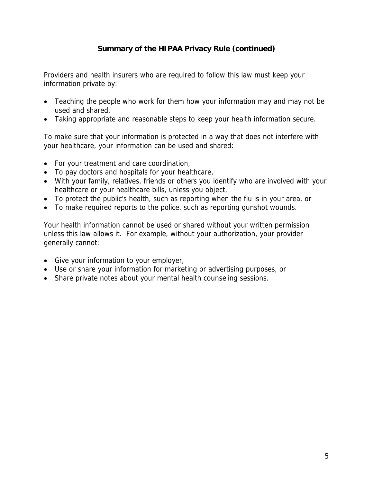# **Summary of the HIPAA Privacy Rule (continued)**

Providers and health insurers who are required to follow this law must keep your information private by:

- Teaching the people who work for them how your information may and may not be used and shared,
- Taking appropriate and reasonable steps to keep your health information secure.

To make sure that your information is protected in a way that does not interfere with your healthcare, your information can be used and shared:

- For your treatment and care coordination,
- To pay doctors and hospitals for your healthcare,
- With your family, relatives, friends or others you identify who are involved with your healthcare or your healthcare bills, unless you object,
- To protect the public's health, such as reporting when the flu is in your area, or
- To make required reports to the police, such as reporting gunshot wounds.

Your health information cannot be used or shared without your written permission unless this law allows it. For example, without your authorization, your provider generally cannot:

- Give your information to your employer,
- Use or share your information for marketing or advertising purposes, or
- Share private notes about your mental health counseling sessions.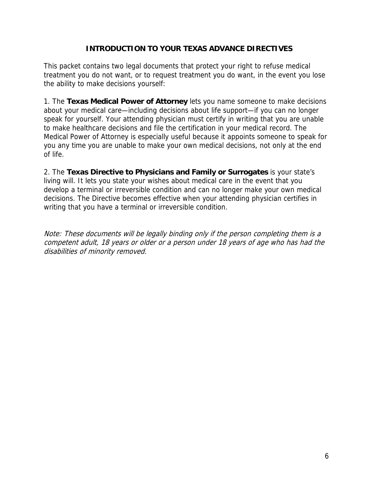# **INTRODUCTION TO YOUR TEXAS ADVANCE DIRECTIVES**

This packet contains two legal documents that protect your right to refuse medical treatment you do not want, or to request treatment you do want, in the event you lose the ability to make decisions yourself:

1. The **Texas Medical Power of Attorney** lets you name someone to make decisions about your medical care—including decisions about life support—if you can no longer speak for yourself. Your attending physician must certify in writing that you are unable to make healthcare decisions and file the certification in your medical record. The Medical Power of Attorney is especially useful because it appoints someone to speak for you any time you are unable to make your own medical decisions, not only at the end of life.

2. The **Texas Directive to Physicians and Family or Surrogates** is your state's living will. It lets you state your wishes about medical care in the event that you develop a terminal or irreversible condition and can no longer make your own medical decisions. The Directive becomes effective when your attending physician certifies in writing that you have a terminal or irreversible condition.

Note: These documents will be legally binding only if the person completing them is a competent adult, 18 years or older or a person under 18 years of age who has had the disabilities of minority removed.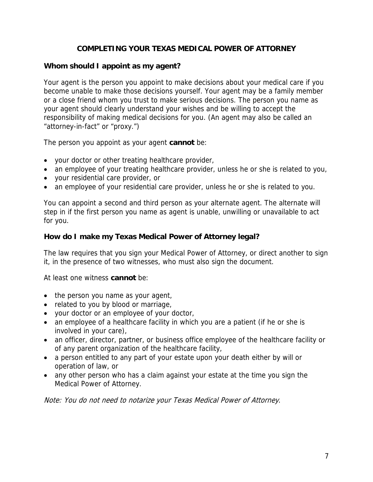# **COMPLETING YOUR TEXAS MEDICAL POWER OF ATTORNEY**

### **Whom should I appoint as my agent?**

Your agent is the person you appoint to make decisions about your medical care if you become unable to make those decisions yourself. Your agent may be a family member or a close friend whom you trust to make serious decisions. The person you name as your agent should clearly understand your wishes and be willing to accept the responsibility of making medical decisions for you. (An agent may also be called an "attorney-in-fact" or "proxy.")

The person you appoint as your agent **cannot** be:

- your doctor or other treating healthcare provider,
- an employee of your treating healthcare provider, unless he or she is related to you,
- your residential care provider, or
- an employee of your residential care provider, unless he or she is related to you.

You can appoint a second and third person as your alternate agent. The alternate will step in if the first person you name as agent is unable, unwilling or unavailable to act for you.

#### **How do I make my Texas Medical Power of Attorney legal?**

The law requires that you sign your Medical Power of Attorney, or direct another to sign it, in the presence of two witnesses, who must also sign the document.

At least one witness **cannot** be:

- the person you name as your agent,
- related to you by blood or marriage,
- your doctor or an employee of your doctor,
- an employee of a healthcare facility in which you are a patient (if he or she is involved in your care),
- an officer, director, partner, or business office employee of the healthcare facility or of any parent organization of the healthcare facility,
- a person entitled to any part of your estate upon your death either by will or operation of law, or
- any other person who has a claim against your estate at the time you sign the Medical Power of Attorney.

Note: You do not need to notarize your Texas Medical Power of Attorney.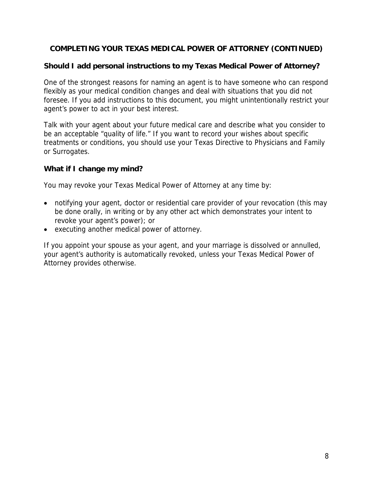# **COMPLETING YOUR TEXAS MEDICAL POWER OF ATTORNEY (CONTINUED)**

# **Should I add personal instructions to my Texas Medical Power of Attorney?**

One of the strongest reasons for naming an agent is to have someone who can respond flexibly as your medical condition changes and deal with situations that you did not foresee. If you add instructions to this document, you might unintentionally restrict your agent's power to act in your best interest.

Talk with your agent about your future medical care and describe what you consider to be an acceptable "quality of life." If you want to record your wishes about specific treatments or conditions, you should use your Texas Directive to Physicians and Family or Surrogates.

# **What if I change my mind?**

You may revoke your Texas Medical Power of Attorney at any time by:

- notifying your agent, doctor or residential care provider of your revocation (this may be done orally, in writing or by any other act which demonstrates your intent to revoke your agent's power); or
- executing another medical power of attorney.

If you appoint your spouse as your agent, and your marriage is dissolved or annulled, your agent's authority is automatically revoked, unless your Texas Medical Power of Attorney provides otherwise.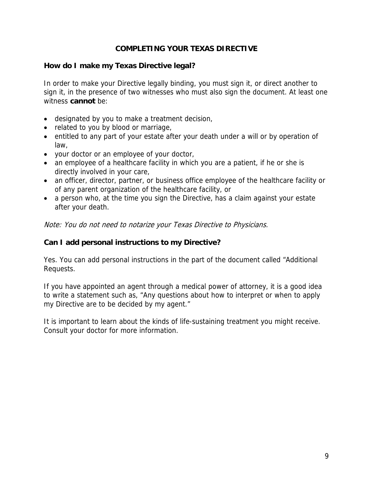# **COMPLETING YOUR TEXAS DIRECTIVE**

#### **How do I make my Texas Directive legal?**

In order to make your Directive legally binding, you must sign it, or direct another to sign it, in the presence of two witnesses who must also sign the document. At least one witness **cannot** be:

- designated by you to make a treatment decision,
- related to you by blood or marriage,
- entitled to any part of your estate after your death under a will or by operation of law,
- your doctor or an employee of your doctor,
- an employee of a healthcare facility in which you are a patient, if he or she is directly involved in your care,
- an officer, director, partner, or business office employee of the healthcare facility or of any parent organization of the healthcare facility, or
- a person who, at the time you sign the Directive, has a claim against your estate after your death.

Note: You do not need to notarize your Texas Directive to Physicians.

### **Can I add personal instructions to my Directive?**

Yes. You can add personal instructions in the part of the document called "Additional Requests.

If you have appointed an agent through a medical power of attorney, it is a good idea to write a statement such as, "Any questions about how to interpret or when to apply my Directive are to be decided by my agent."

It is important to learn about the kinds of life-sustaining treatment you might receive. Consult your doctor for more information.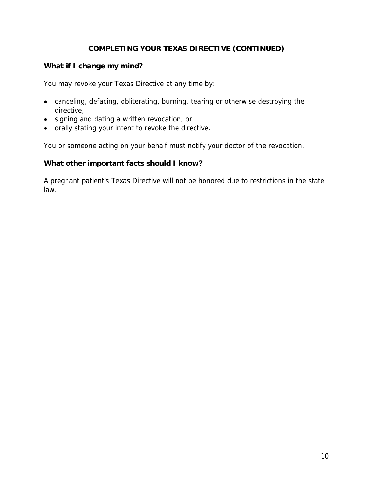# **COMPLETING YOUR TEXAS DIRECTIVE (CONTINUED)**

### **What if I change my mind?**

You may revoke your Texas Directive at any time by:

- canceling, defacing, obliterating, burning, tearing or otherwise destroying the directive,
- signing and dating a written revocation, or
- orally stating your intent to revoke the directive.

You or someone acting on your behalf must notify your doctor of the revocation.

#### **What other important facts should I know?**

A pregnant patient's Texas Directive will not be honored due to restrictions in the state law.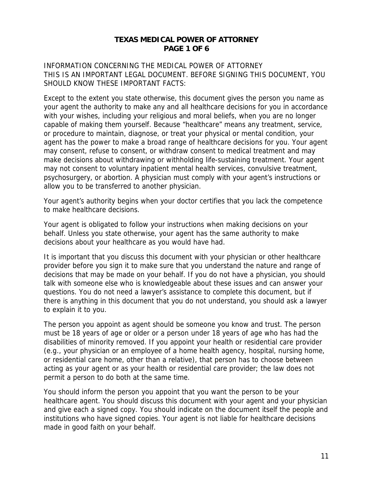#### **TEXAS MEDICAL POWER OF ATTORNEY PAGE 1 OF 6**

INFORMATION CONCERNING THE MEDICAL POWER OF ATTORNEY THIS IS AN IMPORTANT LEGAL DOCUMENT. BEFORE SIGNING THIS DOCUMENT, YOU SHOULD KNOW THESE IMPORTANT FACTS:

Except to the extent you state otherwise, this document gives the person you name as your agent the authority to make any and all healthcare decisions for you in accordance with your wishes, including your religious and moral beliefs, when you are no longer capable of making them yourself. Because "healthcare" means any treatment, service, or procedure to maintain, diagnose, or treat your physical or mental condition, your agent has the power to make a broad range of healthcare decisions for you. Your agent may consent, refuse to consent, or withdraw consent to medical treatment and may make decisions about withdrawing or withholding life-sustaining treatment. Your agent may not consent to voluntary inpatient mental health services, convulsive treatment, psychosurgery, or abortion. A physician must comply with your agent's instructions or allow you to be transferred to another physician.

Your agent's authority begins when your doctor certifies that you lack the competence to make healthcare decisions.

Your agent is obligated to follow your instructions when making decisions on your behalf. Unless you state otherwise, your agent has the same authority to make decisions about your healthcare as you would have had.

It is important that you discuss this document with your physician or other healthcare provider before you sign it to make sure that you understand the nature and range of decisions that may be made on your behalf. If you do not have a physician, you should talk with someone else who is knowledgeable about these issues and can answer your questions. You do not need a lawyer's assistance to complete this document, but if there is anything in this document that you do not understand, you should ask a lawyer to explain it to you.

The person you appoint as agent should be someone you know and trust. The person must be 18 years of age or older or a person under 18 years of age who has had the disabilities of minority removed. If you appoint your health or residential care provider (e.g., your physician or an employee of a home health agency, hospital, nursing home, or residential care home, other than a relative), that person has to choose between acting as your agent or as your health or residential care provider; the law does not permit a person to do both at the same time.

You should inform the person you appoint that you want the person to be your healthcare agent. You should discuss this document with your agent and your physician and give each a signed copy. You should indicate on the document itself the people and institutions who have signed copies. Your agent is not liable for healthcare decisions made in good faith on your behalf.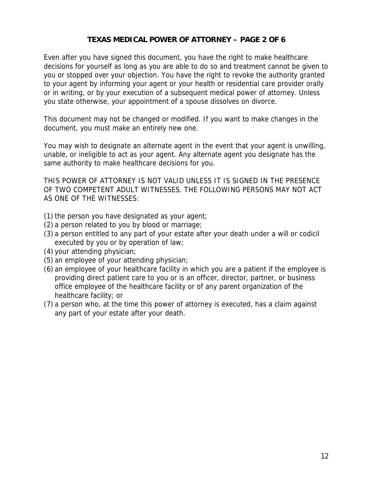# **TEXAS MEDICAL POWER OF ATTORNEY – PAGE 2 OF 6**

Even after you have signed this document, you have the right to make healthcare decisions for yourself as long as you are able to do so and treatment cannot be given to you or stopped over your objection. You have the right to revoke the authority granted to your agent by informing your agent or your health or residential care provider orally or in writing, or by your execution of a subsequent medical power of attorney. Unless you state otherwise, your appointment of a spouse dissolves on divorce.

This document may not be changed or modified. If you want to make changes in the document, you must make an entirely new one.

You may wish to designate an alternate agent in the event that your agent is unwilling, unable, or ineligible to act as your agent. Any alternate agent you designate has the same authority to make healthcare decisions for you.

THIS POWER OF ATTORNEY IS NOT VALID UNLESS IT IS SIGNED IN THE PRESENCE OF TWO COMPETENT ADULT WITNESSES. THE FOLLOWING PERSONS MAY NOT ACT AS ONE OF THE WITNESSES:

- (1) the person you have designated as your agent;
- (2) a person related to you by blood or marriage;
- (3) a person entitled to any part of your estate after your death under a will or codicil executed by you or by operation of law;
- (4) your attending physician;
- (5) an employee of your attending physician;
- (6) an employee of your healthcare facility in which you are a patient if the employee is providing direct patient care to you or is an officer, director, partner, or business office employee of the healthcare facility or of any parent organization of the healthcare facility; or
- (7) a person who, at the time this power of attorney is executed, has a claim against any part of your estate after your death.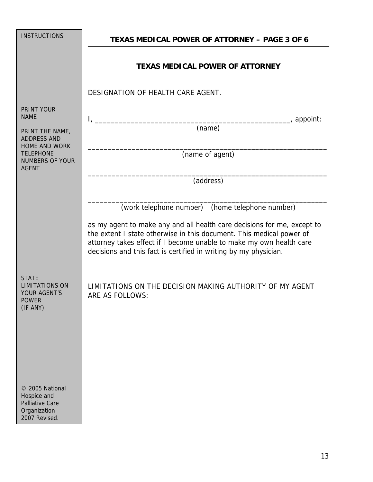| <b>INSTRUCTIONS</b>                                                                       | <b>TEXAS MEDICAL POWER OF ATTORNEY - PAGE 3 OF 6</b>                                                                                                                                                                                                                                                                                          |  |
|-------------------------------------------------------------------------------------------|-----------------------------------------------------------------------------------------------------------------------------------------------------------------------------------------------------------------------------------------------------------------------------------------------------------------------------------------------|--|
|                                                                                           | <b>TEXAS MEDICAL POWER OF ATTORNEY</b>                                                                                                                                                                                                                                                                                                        |  |
|                                                                                           | DESIGNATION OF HEALTH CARE AGENT.                                                                                                                                                                                                                                                                                                             |  |
| <b>PRINT YOUR</b><br><b>NAME</b>                                                          | ___, appoint:<br>$\mathbf{I}_{\mathcal{L}}$                                                                                                                                                                                                                                                                                                   |  |
| PRINT THE NAME,<br><b>ADDRESS AND</b>                                                     | $\overline{(\text{name})}$                                                                                                                                                                                                                                                                                                                    |  |
| <b>HOME AND WORK</b><br><b>TELEPHONE</b><br><b>NUMBERS OF YOUR</b><br><b>AGENT</b>        | (name of agent)                                                                                                                                                                                                                                                                                                                               |  |
|                                                                                           | (address)                                                                                                                                                                                                                                                                                                                                     |  |
|                                                                                           | (work telephone number) (home telephone number)<br>as my agent to make any and all health care decisions for me, except to<br>the extent I state otherwise in this document. This medical power of<br>attorney takes effect if I become unable to make my own health care<br>decisions and this fact is certified in writing by my physician. |  |
| <b>STATE</b><br><b>LIMITATIONS ON</b><br>YOUR AGENT'S<br><b>POWER</b><br>(IF ANY)         | LIMITATIONS ON THE DECISION MAKING AUTHORITY OF MY AGENT<br>ARE AS FOLLOWS:                                                                                                                                                                                                                                                                   |  |
| © 2005 National<br>Hospice and<br><b>Palliative Care</b><br>Organization<br>2007 Revised. |                                                                                                                                                                                                                                                                                                                                               |  |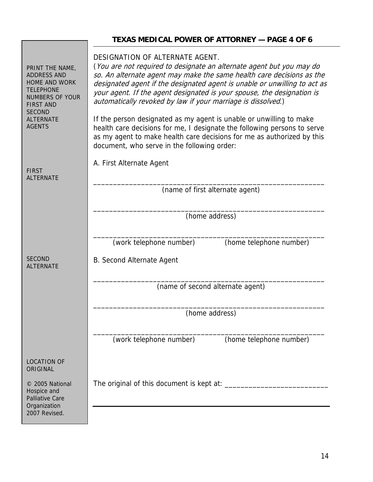|                                                                                                                                                                                       | TEXAS MEDICAL POWER OF ATTORNEY - PAGE 4 OF 6                                                                                                                                                                                                                                                                                                                                                                                                                                                                                                                                                                                                                                       |
|---------------------------------------------------------------------------------------------------------------------------------------------------------------------------------------|-------------------------------------------------------------------------------------------------------------------------------------------------------------------------------------------------------------------------------------------------------------------------------------------------------------------------------------------------------------------------------------------------------------------------------------------------------------------------------------------------------------------------------------------------------------------------------------------------------------------------------------------------------------------------------------|
| PRINT THE NAME,<br><b>ADDRESS AND</b><br><b>HOME AND WORK</b><br><b>TELEPHONE</b><br><b>NUMBERS OF YOUR</b><br><b>FIRST AND</b><br><b>SECOND</b><br><b>ALTERNATE</b><br><b>AGENTS</b> | DESIGNATION OF ALTERNATE AGENT.<br>(You are not required to designate an alternate agent but you may do<br>so. An alternate agent may make the same health care decisions as the<br>designated agent if the designated agent is unable or unwilling to act as<br>your agent. If the agent designated is your spouse, the designation is<br>automatically revoked by law if your marriage is dissolved.)<br>If the person designated as my agent is unable or unwilling to make<br>health care decisions for me, I designate the following persons to serve<br>as my agent to make health care decisions for me as authorized by this<br>document, who serve in the following order: |
| <b>FIRST</b><br><b>ALTERNATE</b>                                                                                                                                                      | A. First Alternate Agent                                                                                                                                                                                                                                                                                                                                                                                                                                                                                                                                                                                                                                                            |
|                                                                                                                                                                                       | (name of first alternate agent)                                                                                                                                                                                                                                                                                                                                                                                                                                                                                                                                                                                                                                                     |
|                                                                                                                                                                                       | (home address)                                                                                                                                                                                                                                                                                                                                                                                                                                                                                                                                                                                                                                                                      |
|                                                                                                                                                                                       | (work telephone number)<br>(home telephone number)                                                                                                                                                                                                                                                                                                                                                                                                                                                                                                                                                                                                                                  |
| <b>SECOND</b><br><b>ALTERNATE</b>                                                                                                                                                     | B. Second Alternate Agent                                                                                                                                                                                                                                                                                                                                                                                                                                                                                                                                                                                                                                                           |
|                                                                                                                                                                                       | (name of second alternate agent)                                                                                                                                                                                                                                                                                                                                                                                                                                                                                                                                                                                                                                                    |
|                                                                                                                                                                                       | (home address)                                                                                                                                                                                                                                                                                                                                                                                                                                                                                                                                                                                                                                                                      |
|                                                                                                                                                                                       | (work telephone number)<br>(home telephone number)                                                                                                                                                                                                                                                                                                                                                                                                                                                                                                                                                                                                                                  |
| <b>LOCATION OF</b><br>ORIGINAL                                                                                                                                                        |                                                                                                                                                                                                                                                                                                                                                                                                                                                                                                                                                                                                                                                                                     |
| © 2005 National<br>Hospice and<br><b>Palliative Care</b><br>Organization<br>2007 Revised.                                                                                             |                                                                                                                                                                                                                                                                                                                                                                                                                                                                                                                                                                                                                                                                                     |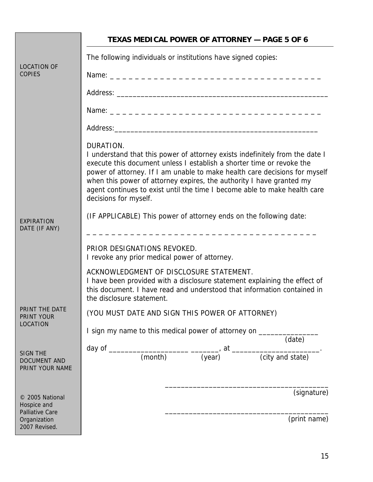|                                                           | <b>TEXAS MEDICAL POWER OF ATTORNEY - PAGE 5 OF 6</b>                                                                                                                                                                                                                                                                                                                                                                           |
|-----------------------------------------------------------|--------------------------------------------------------------------------------------------------------------------------------------------------------------------------------------------------------------------------------------------------------------------------------------------------------------------------------------------------------------------------------------------------------------------------------|
|                                                           | The following individuals or institutions have signed copies:                                                                                                                                                                                                                                                                                                                                                                  |
| <b>LOCATION OF</b><br><b>COPIES</b>                       | Name: ___________________________________                                                                                                                                                                                                                                                                                                                                                                                      |
|                                                           | Address: Address: Address: Address: Address: Address: Address: Address: Address: Address: Address: A                                                                                                                                                                                                                                                                                                                           |
|                                                           |                                                                                                                                                                                                                                                                                                                                                                                                                                |
|                                                           |                                                                                                                                                                                                                                                                                                                                                                                                                                |
|                                                           | DURATION.<br>I understand that this power of attorney exists indefinitely from the date I<br>execute this document unless I establish a shorter time or revoke the<br>power of attorney. If I am unable to make health care decisions for myself<br>when this power of attorney expires, the authority I have granted my<br>agent continues to exist until the time I become able to make health care<br>decisions for myself. |
| EXPIRATION<br>DATE (IF ANY)                               | (IF APPLICABLE) This power of attorney ends on the following date:                                                                                                                                                                                                                                                                                                                                                             |
|                                                           | PRIOR DESIGNATIONS REVOKED.<br>I revoke any prior medical power of attorney.                                                                                                                                                                                                                                                                                                                                                   |
|                                                           | ACKNOWLEDGMENT OF DISCLOSURE STATEMENT.<br>I have been provided with a disclosure statement explaining the effect of<br>this document. I have read and understood that information contained in<br>the disclosure statement.                                                                                                                                                                                                   |
| PRINT THE DATE<br>PRINT YOUR                              | (YOU MUST DATE AND SIGN THIS POWER OF ATTORNEY)                                                                                                                                                                                                                                                                                                                                                                                |
| LOCATION                                                  | I sign my name to this medical power of attorney on _____________<br>(date)                                                                                                                                                                                                                                                                                                                                                    |
| <b>SIGN THE</b><br><b>DOCUMENT AND</b><br>PRINT YOUR NAME | day of $\frac{1}{(month)}$ $\frac{1}{(year)}$ at $\frac{1}{(city \text{ and state})}$                                                                                                                                                                                                                                                                                                                                          |
| © 2005 National<br>Hospice and                            | (signature)                                                                                                                                                                                                                                                                                                                                                                                                                    |
| <b>Palliative Care</b><br>Organization<br>2007 Revised.   | (print name)                                                                                                                                                                                                                                                                                                                                                                                                                   |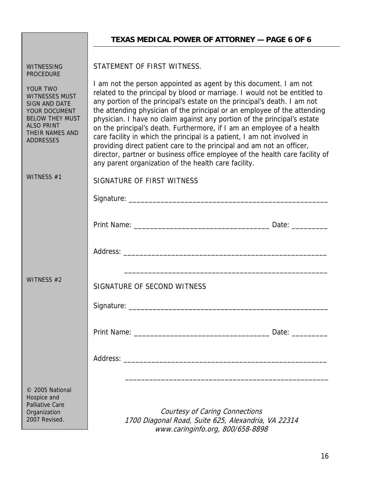| <b>WITNESSING</b><br><b>PROCEDURE</b>                                                                                                                            | STATEMENT OF FIRST WITNESS.                                                                                                                                                                                                                                                                                                                                                                                                                                                                                                                                                                                                                                                                                                                              |  |
|------------------------------------------------------------------------------------------------------------------------------------------------------------------|----------------------------------------------------------------------------------------------------------------------------------------------------------------------------------------------------------------------------------------------------------------------------------------------------------------------------------------------------------------------------------------------------------------------------------------------------------------------------------------------------------------------------------------------------------------------------------------------------------------------------------------------------------------------------------------------------------------------------------------------------------|--|
| YOUR TWO<br><b>WITNESSES MUST</b><br><b>SIGN AND DATE</b><br>YOUR DOCUMENT<br><b>BELOW THEY MUST</b><br><b>ALSO PRINT</b><br>THEIR NAMES AND<br><b>ADDRESSES</b> | I am not the person appointed as agent by this document. I am not<br>related to the principal by blood or marriage. I would not be entitled to<br>any portion of the principal's estate on the principal's death. I am not<br>the attending physician of the principal or an employee of the attending<br>physician. I have no claim against any portion of the principal's estate<br>on the principal's death. Furthermore, if I am an employee of a health<br>care facility in which the principal is a patient, I am not involved in<br>providing direct patient care to the principal and am not an officer,<br>director, partner or business office employee of the health care facility of<br>any parent organization of the health care facility. |  |
| WITNESS #1                                                                                                                                                       | SIGNATURE OF FIRST WITNESS                                                                                                                                                                                                                                                                                                                                                                                                                                                                                                                                                                                                                                                                                                                               |  |
|                                                                                                                                                                  |                                                                                                                                                                                                                                                                                                                                                                                                                                                                                                                                                                                                                                                                                                                                                          |  |
|                                                                                                                                                                  |                                                                                                                                                                                                                                                                                                                                                                                                                                                                                                                                                                                                                                                                                                                                                          |  |
| WITNESS #2                                                                                                                                                       | SIGNATURE OF SECOND WITNESS                                                                                                                                                                                                                                                                                                                                                                                                                                                                                                                                                                                                                                                                                                                              |  |
|                                                                                                                                                                  | Date: _________                                                                                                                                                                                                                                                                                                                                                                                                                                                                                                                                                                                                                                                                                                                                          |  |
|                                                                                                                                                                  |                                                                                                                                                                                                                                                                                                                                                                                                                                                                                                                                                                                                                                                                                                                                                          |  |
| © 2005 National<br>Hospice and<br><b>Palliative Care</b><br>Organization<br>2007 Revised.                                                                        | Courtesy of Caring Connections<br>1700 Diagonal Road, Suite 625, Alexandria, VA 22314<br>www.caringinfo.org, 800/658-8898                                                                                                                                                                                                                                                                                                                                                                                                                                                                                                                                                                                                                                |  |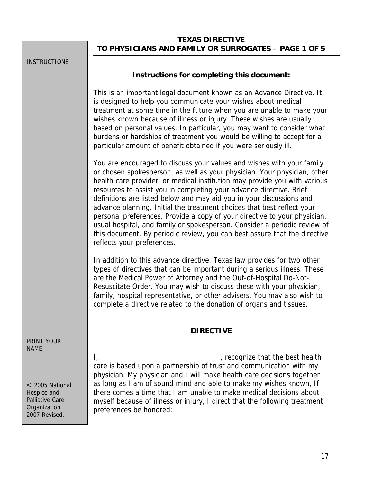# **TEXAS DIRECTIVE TO PHYSICIANS AND FAMILY OR SURROGATES – PAGE 1 OF 5**

| <b>INSTRUCTIONS</b>                                                    |                                                                                                                                                                                                                                                                                                                                                                                                                                                                                                                                                                                                                                                                                                                              |
|------------------------------------------------------------------------|------------------------------------------------------------------------------------------------------------------------------------------------------------------------------------------------------------------------------------------------------------------------------------------------------------------------------------------------------------------------------------------------------------------------------------------------------------------------------------------------------------------------------------------------------------------------------------------------------------------------------------------------------------------------------------------------------------------------------|
|                                                                        | Instructions for completing this document:                                                                                                                                                                                                                                                                                                                                                                                                                                                                                                                                                                                                                                                                                   |
|                                                                        | This is an important legal document known as an Advance Directive. It<br>is designed to help you communicate your wishes about medical<br>treatment at some time in the future when you are unable to make your<br>wishes known because of illness or injury. These wishes are usually<br>based on personal values. In particular, you may want to consider what<br>burdens or hardships of treatment you would be willing to accept for a<br>particular amount of benefit obtained if you were seriously ill.                                                                                                                                                                                                               |
|                                                                        | You are encouraged to discuss your values and wishes with your family<br>or chosen spokesperson, as well as your physician. Your physician, other<br>health care provider, or medical institution may provide you with various<br>resources to assist you in completing your advance directive. Brief<br>definitions are listed below and may aid you in your discussions and<br>advance planning. Initial the treatment choices that best reflect your<br>personal preferences. Provide a copy of your directive to your physician,<br>usual hospital, and family or spokesperson. Consider a periodic review of<br>this document. By periodic review, you can best assure that the directive<br>reflects your preferences. |
|                                                                        | In addition to this advance directive, Texas law provides for two other<br>types of directives that can be important during a serious illness. These<br>are the Medical Power of Attorney and the Out-of-Hospital Do-Not-<br>Resuscitate Order. You may wish to discuss these with your physician,<br>family, hospital representative, or other advisers. You may also wish to<br>complete a directive related to the donation of organs and tissues.                                                                                                                                                                                                                                                                        |
|                                                                        | <b>DIRECTIVE</b>                                                                                                                                                                                                                                                                                                                                                                                                                                                                                                                                                                                                                                                                                                             |
| <b>PRINT YOUR</b><br>NAME<br>© 2005 National                           | ______________________, recognize that the best health<br>$\mathbf{I}_{L}$<br>care is based upon a partnership of trust and communication with my<br>physician. My physician and I will make health care decisions together<br>as long as I am of sound mind and able to make my wishes known, If                                                                                                                                                                                                                                                                                                                                                                                                                            |
| Hospice and<br><b>Palliative Care</b><br>Organization<br>2007 Revised. | there comes a time that I am unable to make medical decisions about<br>myself because of illness or injury, I direct that the following treatment<br>preferences be honored:                                                                                                                                                                                                                                                                                                                                                                                                                                                                                                                                                 |
|                                                                        |                                                                                                                                                                                                                                                                                                                                                                                                                                                                                                                                                                                                                                                                                                                              |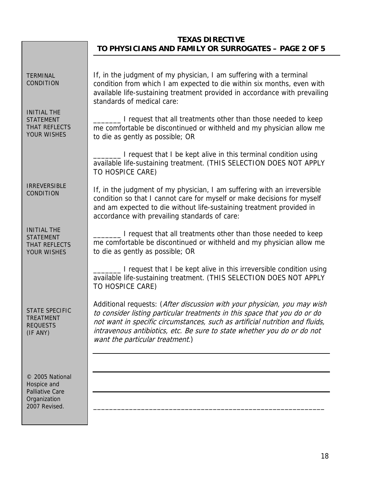# **TEXAS DIRECTIVE TO PHYSICIANS AND FAMILY OR SURROGATES – PAGE 2 OF 5**

| <b>TERMINAL</b><br><b>CONDITION</b>                                           | If, in the judgment of my physician, I am suffering with a terminal<br>condition from which I am expected to die within six months, even with<br>available life-sustaining treatment provided in accordance with prevailing<br>standards of medical care:                                                                                           |
|-------------------------------------------------------------------------------|-----------------------------------------------------------------------------------------------------------------------------------------------------------------------------------------------------------------------------------------------------------------------------------------------------------------------------------------------------|
| <b>INITIAL THE</b><br><b>STATEMENT</b><br>THAT REFLECTS<br>YOUR WISHES        | I request that all treatments other than those needed to keep<br>me comfortable be discontinued or withheld and my physician allow me<br>to die as gently as possible; OR                                                                                                                                                                           |
|                                                                               | I request that I be kept alive in this terminal condition using<br>available life-sustaining treatment. (THIS SELECTION DOES NOT APPLY<br>TO HOSPICE CARE)                                                                                                                                                                                          |
| <b>IRREVERSIBLE</b><br><b>CONDITION</b>                                       | If, in the judgment of my physician, I am suffering with an irreversible<br>condition so that I cannot care for myself or make decisions for myself<br>and am expected to die without life-sustaining treatment provided in<br>accordance with prevailing standards of care:                                                                        |
| <b>INITIAL THE</b><br><b>STATEMENT</b><br>THAT REFLECTS<br><b>YOUR WISHES</b> | I request that all treatments other than those needed to keep<br>me comfortable be discontinued or withheld and my physician allow me<br>to die as gently as possible; OR                                                                                                                                                                           |
|                                                                               | I request that I be kept alive in this irreversible condition using<br>available life-sustaining treatment. (THIS SELECTION DOES NOT APPLY<br>TO HOSPICE CARE)                                                                                                                                                                                      |
| <b>STATE SPECIFIC</b><br><b>TREATMENT</b><br><b>REQUESTS</b><br>(IF ANY)      | Additional requests: (After discussion with your physician, you may wish<br>to consider listing particular treatments in this space that you do or do<br>not want in specific circumstances, such as artificial nutrition and fluids,<br>intravenous antibiotics, etc. Be sure to state whether you do or do not<br>want the particular treatment.) |
|                                                                               |                                                                                                                                                                                                                                                                                                                                                     |
| © 2005 National<br>Hospice and<br><b>Palliative Care</b>                      |                                                                                                                                                                                                                                                                                                                                                     |
| Organization<br>2007 Revised.                                                 |                                                                                                                                                                                                                                                                                                                                                     |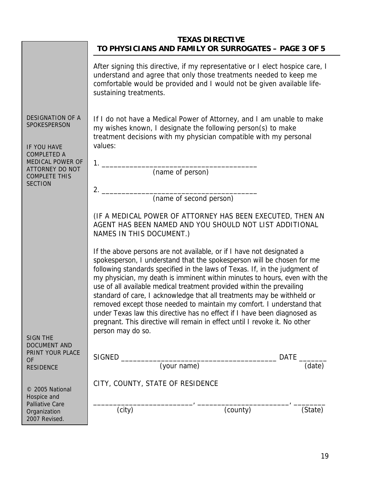|                                                                                                         | TO PHYSICIANS AND FAMILY OR SURROGATES - PAGE 3 OF 5                                                                                                                                                                                                                                                                                                                                                                                                                                                                                                                                                                                                                                                                  | <b>TEXAS DIRECTIVE</b> |               |
|---------------------------------------------------------------------------------------------------------|-----------------------------------------------------------------------------------------------------------------------------------------------------------------------------------------------------------------------------------------------------------------------------------------------------------------------------------------------------------------------------------------------------------------------------------------------------------------------------------------------------------------------------------------------------------------------------------------------------------------------------------------------------------------------------------------------------------------------|------------------------|---------------|
|                                                                                                         | After signing this directive, if my representative or I elect hospice care, I<br>understand and agree that only those treatments needed to keep me<br>comfortable would be provided and I would not be given available life-<br>sustaining treatments.                                                                                                                                                                                                                                                                                                                                                                                                                                                                |                        |               |
| <b>DESIGNATION OF A</b><br>SPOKESPERSON<br>IF YOU HAVE<br><b>COMPLETED A</b><br><b>MEDICAL POWER OF</b> | If I do not have a Medical Power of Attorney, and I am unable to make<br>my wishes known, I designate the following person(s) to make<br>treatment decisions with my physician compatible with my personal<br>values:                                                                                                                                                                                                                                                                                                                                                                                                                                                                                                 |                        |               |
| ATTORNEY DO NOT<br><b>COMPLETE THIS</b>                                                                 | (name of person)                                                                                                                                                                                                                                                                                                                                                                                                                                                                                                                                                                                                                                                                                                      |                        |               |
| <b>SECTION</b>                                                                                          | (name of second person)                                                                                                                                                                                                                                                                                                                                                                                                                                                                                                                                                                                                                                                                                               |                        |               |
|                                                                                                         | (IF A MEDICAL POWER OF ATTORNEY HAS BEEN EXECUTED, THEN AN<br>AGENT HAS BEEN NAMED AND YOU SHOULD NOT LIST ADDITIONAL<br>NAMES IN THIS DOCUMENT.)                                                                                                                                                                                                                                                                                                                                                                                                                                                                                                                                                                     |                        |               |
|                                                                                                         | If the above persons are not available, or if I have not designated a<br>spokesperson, I understand that the spokesperson will be chosen for me<br>following standards specified in the laws of Texas. If, in the judgment of<br>my physician, my death is imminent within minutes to hours, even with the<br>use of all available medical treatment provided within the prevailing<br>standard of care, I acknowledge that all treatments may be withheld or<br>removed except those needed to maintain my comfort. I understand that<br>under Texas law this directive has no effect if I have been diagnosed as<br>pregnant. This directive will remain in effect until I revoke it. No other<br>person may do so. |                        |               |
| <b>SIGN THE</b><br><b>DOCUMENT AND</b>                                                                  |                                                                                                                                                                                                                                                                                                                                                                                                                                                                                                                                                                                                                                                                                                                       |                        |               |
| PRINT YOUR PLACE<br><b>OF</b>                                                                           |                                                                                                                                                                                                                                                                                                                                                                                                                                                                                                                                                                                                                                                                                                                       |                        | DATE ________ |
| <b>RESIDENCE</b>                                                                                        |                                                                                                                                                                                                                                                                                                                                                                                                                                                                                                                                                                                                                                                                                                                       |                        | (date)        |
| © 2005 National<br>Hospice and<br><b>Palliative Care</b>                                                | CITY, COUNTY, STATE OF RESIDENCE                                                                                                                                                                                                                                                                                                                                                                                                                                                                                                                                                                                                                                                                                      |                        |               |
| Organization<br>2007 Revised.                                                                           | (city)                                                                                                                                                                                                                                                                                                                                                                                                                                                                                                                                                                                                                                                                                                                | (county)               | (State)       |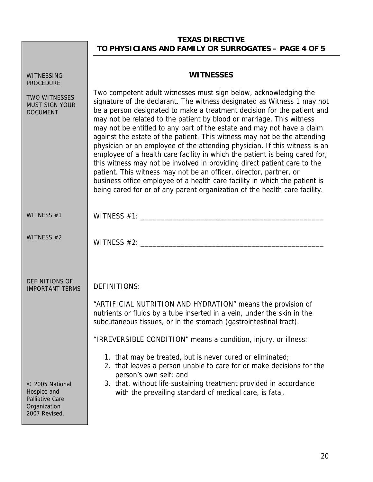# **TEXAS DIRECTIVE TO PHYSICIANS AND FAMILY OR SURROGATES – PAGE 4 OF 5**

| WITNESSING<br><b>PROCEDURE</b>                                                            | <b>WITNESSES</b>                                                                                                                                                                                                                                                                                                                                                                                                                                                                                                                                                                                                                                                                                                                                                                                                                                                                                                                |
|-------------------------------------------------------------------------------------------|---------------------------------------------------------------------------------------------------------------------------------------------------------------------------------------------------------------------------------------------------------------------------------------------------------------------------------------------------------------------------------------------------------------------------------------------------------------------------------------------------------------------------------------------------------------------------------------------------------------------------------------------------------------------------------------------------------------------------------------------------------------------------------------------------------------------------------------------------------------------------------------------------------------------------------|
| <b>TWO WITNESSES</b><br><b>MUST SIGN YOUR</b><br><b>DOCUMENT</b>                          | Two competent adult witnesses must sign below, acknowledging the<br>signature of the declarant. The witness designated as Witness 1 may not<br>be a person designated to make a treatment decision for the patient and<br>may not be related to the patient by blood or marriage. This witness<br>may not be entitled to any part of the estate and may not have a claim<br>against the estate of the patient. This witness may not be the attending<br>physician or an employee of the attending physician. If this witness is an<br>employee of a health care facility in which the patient is being cared for,<br>this witness may not be involved in providing direct patient care to the<br>patient. This witness may not be an officer, director, partner, or<br>business office employee of a health care facility in which the patient is<br>being cared for or of any parent organization of the health care facility. |
| WITNESS #1                                                                                | WITNESS $#1$ :                                                                                                                                                                                                                                                                                                                                                                                                                                                                                                                                                                                                                                                                                                                                                                                                                                                                                                                  |
| WITNESS #2                                                                                | WITNESS $#2:$                                                                                                                                                                                                                                                                                                                                                                                                                                                                                                                                                                                                                                                                                                                                                                                                                                                                                                                   |
| <b>DEFINITIONS OF</b><br><b>IMPORTANT TERMS</b>                                           | <b>DEFINITIONS:</b><br>"ARTIFICIAL NUTRITION AND HYDRATION" means the provision of<br>nutrients or fluids by a tube inserted in a vein, under the skin in the<br>subcutaneous tissues, or in the stomach (gastrointestinal tract).                                                                                                                                                                                                                                                                                                                                                                                                                                                                                                                                                                                                                                                                                              |
| © 2005 National<br>Hospice and<br><b>Palliative Care</b><br>Organization<br>2007 Revised. | "IRREVERSIBLE CONDITION" means a condition, injury, or illness:<br>1. that may be treated, but is never cured or eliminated;<br>2. that leaves a person unable to care for or make decisions for the<br>person's own self; and<br>3. that, without life-sustaining treatment provided in accordance<br>with the prevailing standard of medical care, is fatal.                                                                                                                                                                                                                                                                                                                                                                                                                                                                                                                                                                  |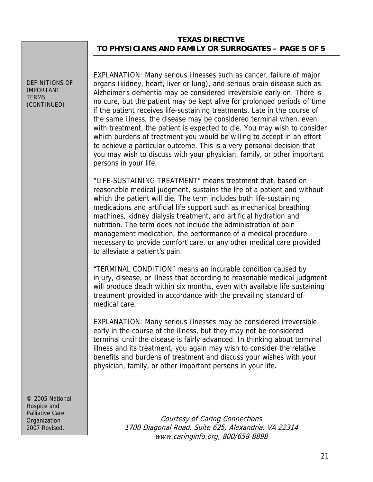#### **TEXAS DIRECTIVE TO PHYSICIANS AND FAMILY OR SURROGATES – PAGE 5 OF 5**

DEFINITIONS OF IMPORTANT **TERMS** (CONTINUED)

EXPLANATION: Many serious illnesses such as cancer, failure of major organs (kidney, heart, liver or lung), and serious brain disease such as Alzheimer's dementia may be considered irreversible early on. There is no cure, but the patient may be kept alive for prolonged periods of time if the patient receives life-sustaining treatments. Late in the course of the same illness, the disease may be considered terminal when, even with treatment, the patient is expected to die. You may wish to consider which burdens of treatment you would be willing to accept in an effort to achieve a particular outcome. This is a very personal decision that you may wish to discuss with your physician, family, or other important persons in your life.

"LIFE-SUSTAINING TREATMENT" means treatment that, based on reasonable medical judgment, sustains the life of a patient and without which the patient will die. The term includes both life-sustaining medications and artificial life support such as mechanical breathing machines, kidney dialysis treatment, and artificial hydration and nutrition. The term does not include the administration of pain management medication, the performance of a medical procedure necessary to provide comfort care, or any other medical care provided to alleviate a patient's pain.

"TERMINAL CONDITION" means an incurable condition caused by injury, disease, or illness that according to reasonable medical judgment will produce death within six months, even with available life-sustaining treatment provided in accordance with the prevailing standard of medical care.

EXPLANATION: Many serious illnesses may be considered irreversible early in the course of the illness, but they may not be considered terminal until the disease is fairly advanced. In thinking about terminal illness and its treatment, you again may wish to consider the relative benefits and burdens of treatment and discuss your wishes with your physician, family, or other important persons in your life.

© 2005 National Hospice and Palliative Care **Organization** 2007 Revised.

Courtesy of Caring Connections 1700 Diagonal Road, Suite 625, Alexandria, VA 22314 www.caringinfo.org, 800/658-8898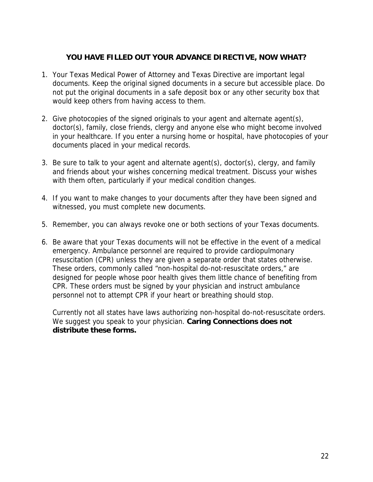# **YOU HAVE FILLED OUT YOUR ADVANCE DIRECTIVE, NOW WHAT?**

- 1. Your Texas Medical Power of Attorney and Texas Directive are important legal documents. Keep the original signed documents in a secure but accessible place. Do not put the original documents in a safe deposit box or any other security box that would keep others from having access to them.
- 2. Give photocopies of the signed originals to your agent and alternate agent(s), doctor(s), family, close friends, clergy and anyone else who might become involved in your healthcare. If you enter a nursing home or hospital, have photocopies of your documents placed in your medical records.
- 3. Be sure to talk to your agent and alternate agent(s), doctor(s), clergy, and family and friends about your wishes concerning medical treatment. Discuss your wishes with them often, particularly if your medical condition changes.
- 4. If you want to make changes to your documents after they have been signed and witnessed, you must complete new documents.
- 5. Remember, you can always revoke one or both sections of your Texas documents.
- 6. Be aware that your Texas documents will not be effective in the event of a medical emergency. Ambulance personnel are required to provide cardiopulmonary resuscitation (CPR) unless they are given a separate order that states otherwise. These orders, commonly called "non-hospital do-not-resuscitate orders," are designed for people whose poor health gives them little chance of benefiting from CPR. These orders must be signed by your physician and instruct ambulance personnel not to attempt CPR if your heart or breathing should stop.

Currently not all states have laws authorizing non-hospital do-not-resuscitate orders. We suggest you speak to your physician. **Caring Connections does not distribute these forms.**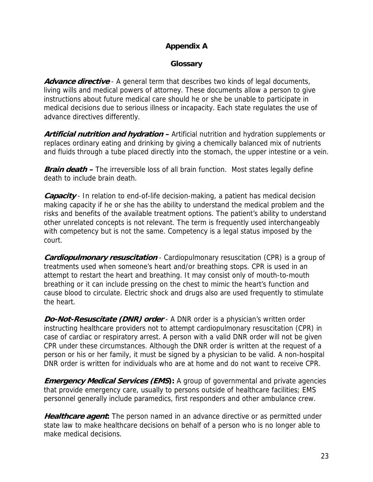# **Appendix A**

### **Glossary**

**Advance directive** - A general term that describes two kinds of legal documents, living wills and medical powers of attorney. These documents allow a person to give instructions about future medical care should he or she be unable to participate in medical decisions due to serious illness or incapacity. Each state regulates the use of advance directives differently.

**Artificial nutrition and hydration –** Artificial nutrition and hydration supplements or replaces ordinary eating and drinking by giving a chemically balanced mix of nutrients and fluids through a tube placed directly into the stomach, the upper intestine or a vein.

**Brain death** – The irreversible loss of all brain function. Most states legally define death to include brain death.

**Capacity** - In relation to end-of-life decision-making, a patient has medical decision making capacity if he or she has the ability to understand the medical problem and the risks and benefits of the available treatment options. The patient's ability to understand other unrelated concepts is not relevant. The term is frequently used interchangeably with competency but is not the same. Competency is a legal status imposed by the court.

**Cardiopulmonary resuscitation** - Cardiopulmonary resuscitation (CPR) is a group of treatments used when someone's heart and/or breathing stops. CPR is used in an attempt to restart the heart and breathing. It may consist only of mouth-to-mouth breathing or it can include pressing on the chest to mimic the heart's function and cause blood to circulate. Electric shock and drugs also are used frequently to stimulate the heart.

**Do-Not-Resuscitate (DNR) order** - A DNR order is a physician's written order instructing healthcare providers not to attempt cardiopulmonary resuscitation (CPR) in case of cardiac or respiratory arrest. A person with a valid DNR order will not be given CPR under these circumstances. Although the DNR order is written at the request of a person or his or her family, it must be signed by a physician to be valid. A non-hospital DNR order is written for individuals who are at home and do not want to receive CPR.

**Emergency Medical Services (EMS):** A group of governmental and private agencies that provide emergency care, usually to persons outside of healthcare facilities; EMS personnel generally include paramedics, first responders and other ambulance crew.

**Healthcare agent:** The person named in an advance directive or as permitted under state law to make healthcare decisions on behalf of a person who is no longer able to make medical decisions.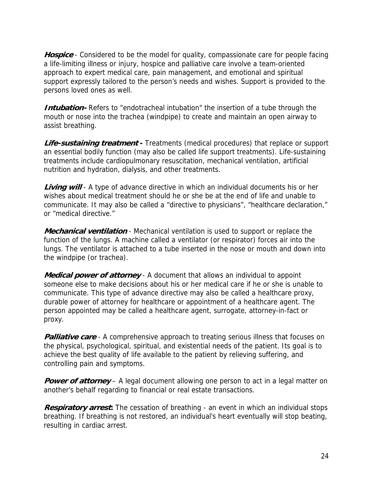**Hospice** - Considered to be the model for quality, compassionate care for people facing a life-limiting illness or injury, hospice and palliative care involve a team-oriented approach to expert medical care, pain management, and emotional and spiritual support expressly tailored to the person's needs and wishes. Support is provided to the persons loved ones as well.

**Intubation-** Refers to "endotracheal intubation" the insertion of a tube through the mouth or nose into the trachea (windpipe) to create and maintain an open airway to assist breathing.

**Life-sustaining treatment -** Treatments (medical procedures) that replace or support an essential bodily function (may also be called life support treatments). Life-sustaining treatments include cardiopulmonary resuscitation, mechanical ventilation, artificial nutrition and hydration, dialysis, and other treatments.

**Living will** - A type of advance directive in which an individual documents his or her wishes about medical treatment should he or she be at the end of life and unable to communicate. It may also be called a "directive to physicians", "healthcare declaration," or "medical directive."

**Mechanical ventilation** - Mechanical ventilation is used to support or replace the function of the lungs. A machine called a ventilator (or respirator) forces air into the lungs. The ventilator is attached to a tube inserted in the nose or mouth and down into the windpipe (or trachea).

**Medical power of attorney** - A document that allows an individual to appoint someone else to make decisions about his or her medical care if he or she is unable to communicate. This type of advance directive may also be called a healthcare proxy, durable power of attorney for healthcare or appointment of a healthcare agent. The person appointed may be called a healthcare agent, surrogate, attorney-in-fact or proxy.

**Palliative care** - A comprehensive approach to treating serious illness that focuses on the physical, psychological, spiritual, and existential needs of the patient. Its goal is to achieve the best quality of life available to the patient by relieving suffering, and controlling pain and symptoms.

**Power of attorney** – A legal document allowing one person to act in a legal matter on another's behalf regarding to financial or real estate transactions.

**Respiratory arrest:** The cessation of breathing - an event in which an individual stops breathing. If breathing is not restored, an individual's heart eventually will stop beating, resulting in cardiac arrest.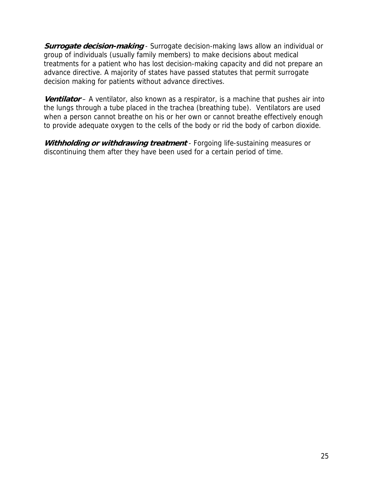**Surrogate decision-making** - Surrogate decision-making laws allow an individual or group of individuals (usually family members) to make decisions about medical treatments for a patient who has lost decision-making capacity and did not prepare an advance directive. A majority of states have passed statutes that permit surrogate decision making for patients without advance directives.

**Ventilator** – A ventilator, also known as a respirator, is a machine that pushes air into the lungs through a tube placed in the trachea (breathing tube). Ventilators are used when a person cannot breathe on his or her own or cannot breathe effectively enough to provide adequate oxygen to the cells of the body or rid the body of carbon dioxide.

**Withholding or withdrawing treatment** - Forgoing life-sustaining measures or discontinuing them after they have been used for a certain period of time.